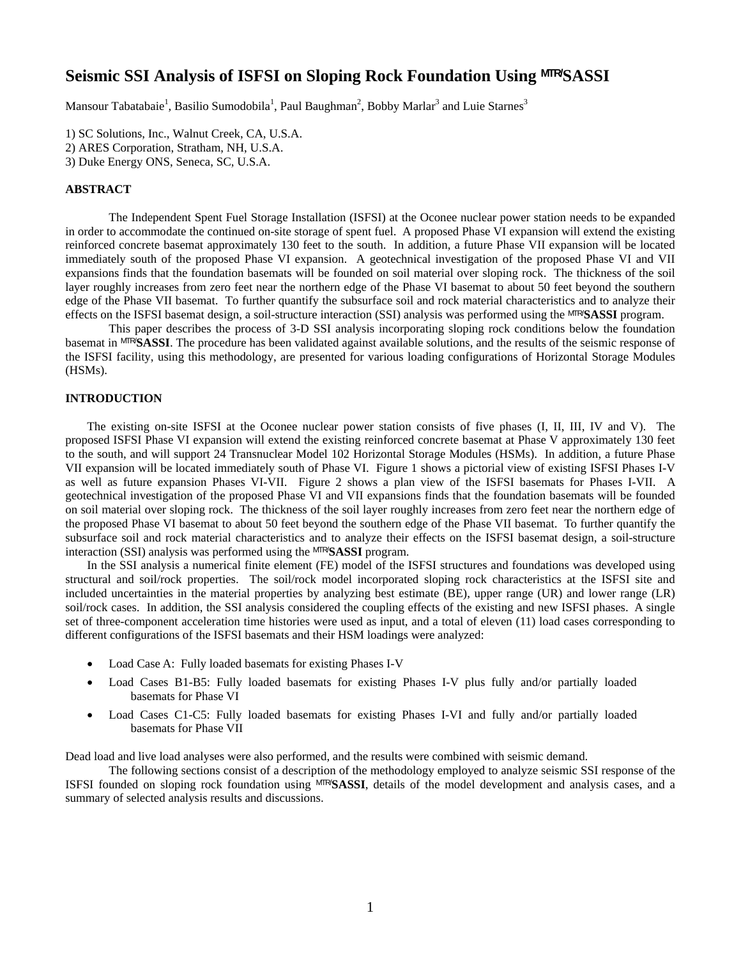# **Seismic SSI Analysis of ISFSI on Sloping Rock Foundation Using MTR/SASSI**

Mansour Tabatabaie<sup>1</sup>, Basilio Sumodobila<sup>1</sup>, Paul Baughman<sup>2</sup>, Bobby Marlar<sup>3</sup> and Luie Starnes<sup>3</sup>

1) SC Solutions, Inc., Walnut Creek, CA, U.S.A.

2) ARES Corporation, Stratham, NH, U.S.A.

3) Duke Energy ONS, Seneca, SC, U.S.A.

## **ABSTRACT**

The Independent Spent Fuel Storage Installation (ISFSI) at the Oconee nuclear power station needs to be expanded in order to accommodate the continued on-site storage of spent fuel. A proposed Phase VI expansion will extend the existing reinforced concrete basemat approximately 130 feet to the south. In addition, a future Phase VII expansion will be located immediately south of the proposed Phase VI expansion. A geotechnical investigation of the proposed Phase VI and VII expansions finds that the foundation basemats will be founded on soil material over sloping rock. The thickness of the soil layer roughly increases from zero feet near the northern edge of the Phase VI basemat to about 50 feet beyond the southern edge of the Phase VII basemat. To further quantify the subsurface soil and rock material characteristics and to analyze their effects on the ISFSI basemat design, a soil-structure interaction (SSI) analysis was performed using the MTR/**SASSI** program.

This paper describes the process of 3-D SSI analysis incorporating sloping rock conditions below the foundation basemat in MTR/**SASSI**. The procedure has been validated against available solutions, and the results of the seismic response of the ISFSI facility, using this methodology, are presented for various loading configurations of Horizontal Storage Modules (HSMs).

# **INTRODUCTION**

The existing on-site ISFSI at the Oconee nuclear power station consists of five phases (I, II, III, IV and V). The proposed ISFSI Phase VI expansion will extend the existing reinforced concrete basemat at Phase V approximately 130 feet to the south, and will support 24 Transnuclear Model 102 Horizontal Storage Modules (HSMs). In addition, a future Phase VII expansion will be located immediately south of Phase VI. Figure 1 shows a pictorial view of existing ISFSI Phases I-V as well as future expansion Phases VI-VII. Figure 2 shows a plan view of the ISFSI basemats for Phases I-VII. A geotechnical investigation of the proposed Phase VI and VII expansions finds that the foundation basemats will be founded on soil material over sloping rock. The thickness of the soil layer roughly increases from zero feet near the northern edge of the proposed Phase VI basemat to about 50 feet beyond the southern edge of the Phase VII basemat. To further quantify the subsurface soil and rock material characteristics and to analyze their effects on the ISFSI basemat design, a soil-structure interaction (SSI) analysis was performed using the MTR/**SASSI** program.

In the SSI analysis a numerical finite element (FE) model of the ISFSI structures and foundations was developed using structural and soil/rock properties. The soil/rock model incorporated sloping rock characteristics at the ISFSI site and included uncertainties in the material properties by analyzing best estimate (BE), upper range (UR) and lower range (LR) soil/rock cases. In addition, the SSI analysis considered the coupling effects of the existing and new ISFSI phases. A single set of three-component acceleration time histories were used as input, and a total of eleven (11) load cases corresponding to different configurations of the ISFSI basemats and their HSM loadings were analyzed:

- Load Case A: Fully loaded basemats for existing Phases I-V
- Load Cases B1-B5: Fully loaded basemats for existing Phases I-V plus fully and/or partially loaded basemats for Phase VI
- Load Cases C1-C5: Fully loaded basemats for existing Phases I-VI and fully and/or partially loaded basemats for Phase VII

Dead load and live load analyses were also performed, and the results were combined with seismic demand.

The following sections consist of a description of the methodology employed to analyze seismic SSI response of the ISFSI founded on sloping rock foundation using MTR/**SASSI**, details of the model development and analysis cases, and a summary of selected analysis results and discussions.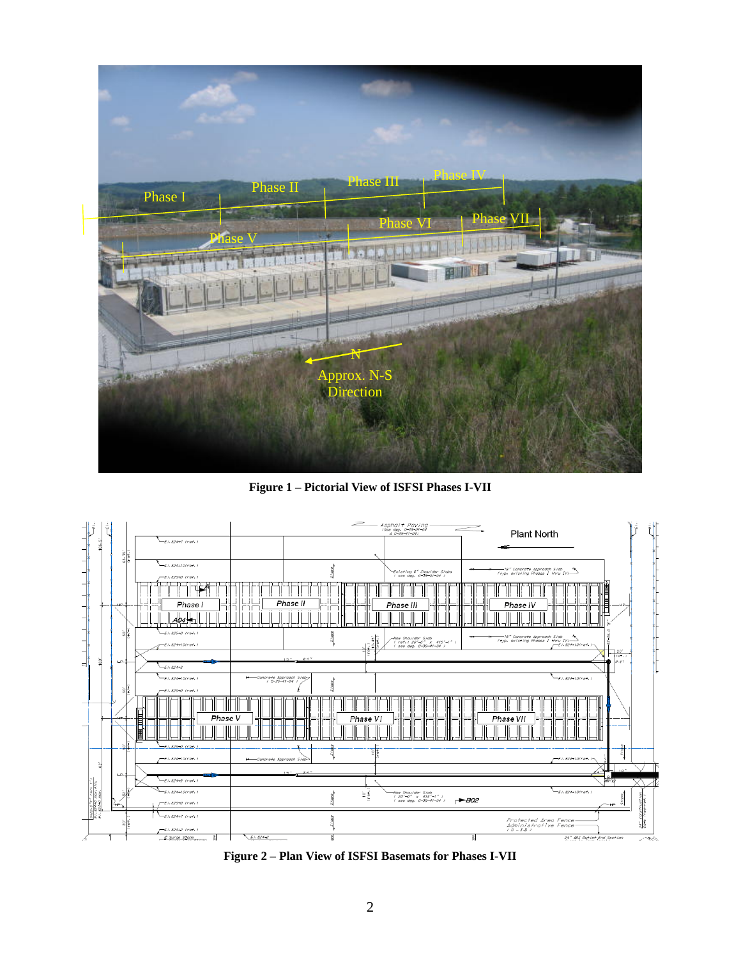

**Figure 1 – Pictorial View of ISFSI Phases I-VII** 



**Figure 2 – Plan View of ISFSI Basemats for Phases I-VII**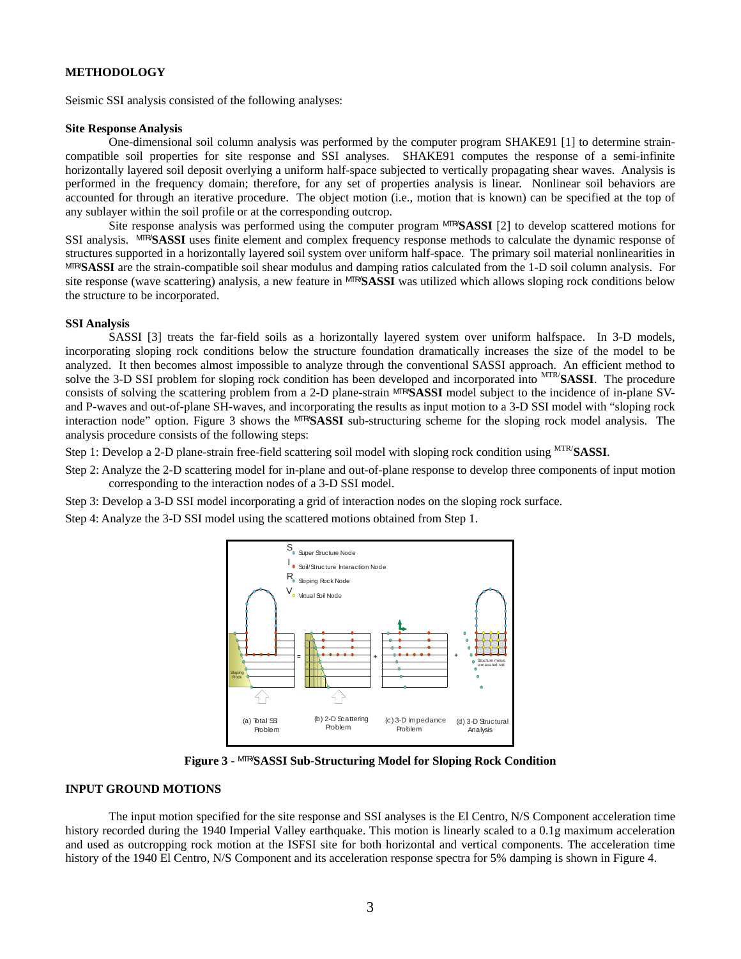## **METHODOLOGY**

Seismic SSI analysis consisted of the following analyses:

#### **Site Response Analysis**

One-dimensional soil column analysis was performed by the computer program SHAKE91 [1] to determine straincompatible soil properties for site response and SSI analyses. SHAKE91 computes the response of a semi-infinite horizontally layered soil deposit overlying a uniform half-space subjected to vertically propagating shear waves. Analysis is performed in the frequency domain; therefore, for any set of properties analysis is linear. Nonlinear soil behaviors are accounted for through an iterative procedure. The object motion (i.e., motion that is known) can be specified at the top of any sublayer within the soil profile or at the corresponding outcrop.

Site response analysis was performed using the computer program MTR/**SASSI** [2] to develop scattered motions for SSI analysis. MTR/**SASSI** uses finite element and complex frequency response methods to calculate the dynamic response of structures supported in a horizontally layered soil system over uniform half-space. The primary soil material nonlinearities in MTR/**SASSI** are the strain-compatible soil shear modulus and damping ratios calculated from the 1-D soil column analysis. For site response (wave scattering) analysis, a new feature in MTR/**SASSI** was utilized which allows sloping rock conditions below the structure to be incorporated.

#### **SSI Analysis**

SASSI [3] treats the far-field soils as a horizontally layered system over uniform halfspace. In 3-D models, incorporating sloping rock conditions below the structure foundation dramatically increases the size of the model to be analyzed. It then becomes almost impossible to analyze through the conventional SASSI approach. An efficient method to solve the 3-D SSI problem for sloping rock condition has been developed and incorporated into MTR/**SASSI**. The procedure consists of solving the scattering problem from a 2-D plane-strain MTR/**SASSI** model subject to the incidence of in-plane SVand P-waves and out-of-plane SH-waves, and incorporating the results as input motion to a 3-D SSI model with "sloping rock interaction node" option. Figure 3 shows the MTR/**SASSI** sub-structuring scheme for the sloping rock model analysis. The analysis procedure consists of the following steps:

Step 1: Develop a 2-D plane-strain free-field scattering soil model with sloping rock condition using MTR/**SASSI**.

- Step 2: Analyze the 2-D scattering model for in-plane and out-of-plane response to develop three components of input motion corresponding to the interaction nodes of a 3-D SSI model.
- Step 3: Develop a 3-D SSI model incorporating a grid of interaction nodes on the sloping rock surface.

Step 4: Analyze the 3-D SSI model using the scattered motions obtained from Step 1.



**Figure 3 -** MTR/**SASSI Sub-Structuring Model for Sloping Rock Condition** 

#### **INPUT GROUND MOTIONS**

The input motion specified for the site response and SSI analyses is the El Centro, N/S Component acceleration time history recorded during the 1940 Imperial Valley earthquake. This motion is linearly scaled to a 0.1g maximum acceleration and used as outcropping rock motion at the ISFSI site for both horizontal and vertical components. The acceleration time history of the 1940 El Centro, N/S Component and its acceleration response spectra for 5% damping is shown in Figure 4.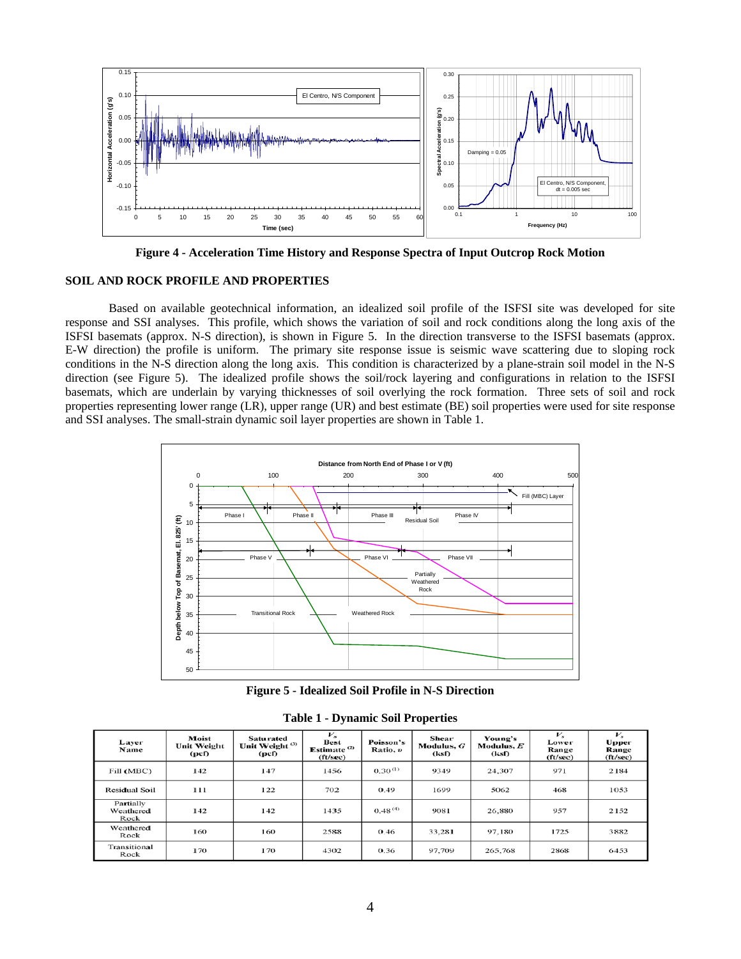

**Figure 4 - Acceleration Time History and Response Spectra of Input Outcrop Rock Motion** 

## **SOIL AND ROCK PROFILE AND PROPERTIES**

Based on available geotechnical information, an idealized soil profile of the ISFSI site was developed for site response and SSI analyses. This profile, which shows the variation of soil and rock conditions along the long axis of the ISFSI basemats (approx. N-S direction), is shown in Figure 5. In the direction transverse to the ISFSI basemats (approx. E-W direction) the profile is uniform. The primary site response issue is seismic wave scattering due to sloping rock conditions in the N-S direction along the long axis. This condition is characterized by a plane-strain soil model in the N-S direction (see Figure 5). The idealized profile shows the soil/rock layering and configurations in relation to the ISFSI basemats, which are underlain by varying thicknesses of soil overlying the rock formation. Three sets of soil and rock properties representing lower range (LR), upper range (UR) and best estimate (BE) soil properties were used for site response and SSI analyses. The small-strain dynamic soil layer properties are shown in Table 1.



**Figure 5 - Idealized Soil Profile in N-S Direction** 

| Laver<br>Name                  | Moist<br>Unit Weight<br>(pcf) | <b>Saturated</b><br>Unit Weight <sup>(3)</sup><br>(pcf) | $V_{s}$<br><b>Best</b><br>Estimate <sup>(2)</sup><br>(ft/sec) | Poisson's<br>Ratio, v | <b>Shear</b><br>Modulus, $G$<br>(ksf) | Young's<br>Modulus, $E$<br>(ksf) | $\nu_{\rm s}$<br>Lower<br><b>Range</b><br>(ft/sec) | $V_{x}$<br><b>Upper</b><br>Range<br>(ft/sec) |
|--------------------------------|-------------------------------|---------------------------------------------------------|---------------------------------------------------------------|-----------------------|---------------------------------------|----------------------------------|----------------------------------------------------|----------------------------------------------|
| Fill (MBC)                     | 142                           | 147                                                     | 1456                                                          | $0.30^{(1)}$          | 9349                                  | 24,307                           | 971                                                | 2184                                         |
| <b>Residual Soil</b>           | 111                           | 122                                                     | 702                                                           | 0.49                  | 1699                                  | 5062                             | 468                                                | 1053                                         |
| Partially<br>Weathered<br>Rock | 142                           | 142                                                     | 1435                                                          | 0.48(4)               | 9081                                  | 26,880                           | 957                                                | 2152                                         |
| Weathered<br>Rock              | 160                           | 160                                                     | 2588                                                          | 0.46                  | 33,281                                | 97.180                           | 1725                                               | 3882                                         |
| Transitional<br>Rock           | 170                           | 170                                                     | 4302                                                          | 0.36                  | 97.709                                | 265,768                          | 2868                                               | 6453                                         |

**Table 1 - Dynamic Soil Properties**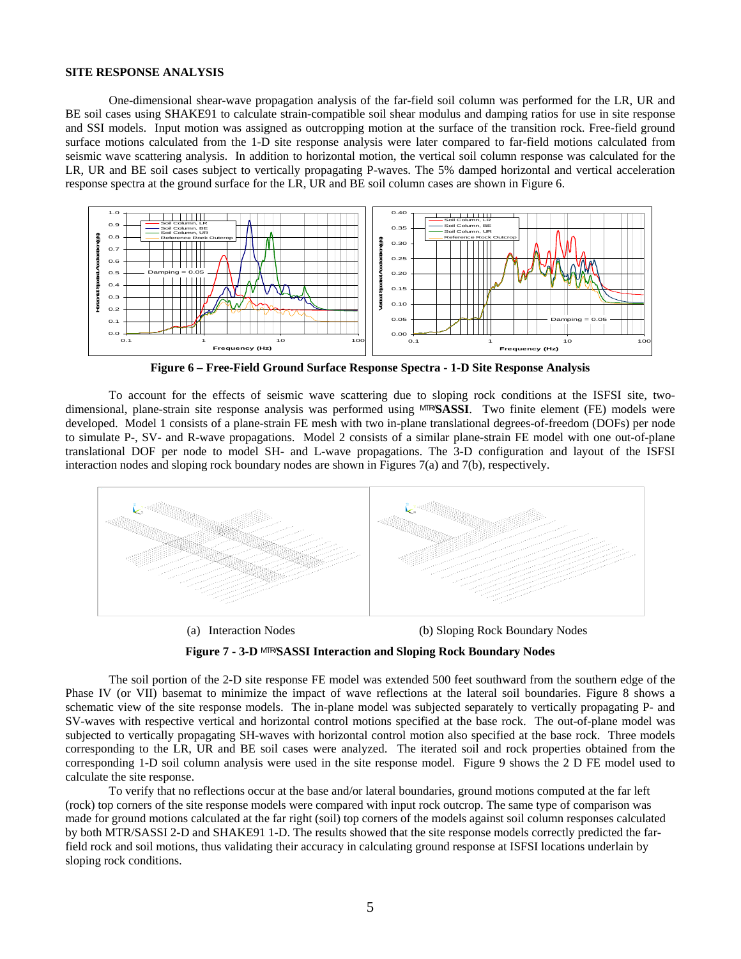#### **SITE RESPONSE ANALYSIS**

One-dimensional shear-wave propagation analysis of the far-field soil column was performed for the LR, UR and BE soil cases using SHAKE91 to calculate strain-compatible soil shear modulus and damping ratios for use in site response and SSI models. Input motion was assigned as outcropping motion at the surface of the transition rock. Free-field ground surface motions calculated from the 1-D site response analysis were later compared to far-field motions calculated from seismic wave scattering analysis. In addition to horizontal motion, the vertical soil column response was calculated for the LR, UR and BE soil cases subject to vertically propagating P-waves. The 5% damped horizontal and vertical acceleration response spectra at the ground surface for the LR, UR and BE soil column cases are shown in Figure 6.



**Figure 6 – Free-Field Ground Surface Response Spectra - 1-D Site Response Analysis** 

To account for the effects of seismic wave scattering due to sloping rock conditions at the ISFSI site, twodimensional, plane-strain site response analysis was performed using MTR/**SASSI**. Two finite element (FE) models were developed. Model 1 consists of a plane-strain FE mesh with two in-plane translational degrees-of-freedom (DOFs) per node to simulate P-, SV- and R-wave propagations. Model 2 consists of a similar plane-strain FE model with one out-of-plane translational DOF per node to model SH- and L-wave propagations. The 3-D configuration and layout of the ISFSI interaction nodes and sloping rock boundary nodes are shown in Figures 7(a) and 7(b), respectively.





(a) Interaction Nodes (b) Sloping Rock Boundary Nodes



The soil portion of the 2-D site response FE model was extended 500 feet southward from the southern edge of the Phase IV (or VII) basemat to minimize the impact of wave reflections at the lateral soil boundaries. Figure 8 shows a schematic view of the site response models. The in-plane model was subjected separately to vertically propagating P- and SV-waves with respective vertical and horizontal control motions specified at the base rock. The out-of-plane model was subjected to vertically propagating SH-waves with horizontal control motion also specified at the base rock. Three models corresponding to the LR, UR and BE soil cases were analyzed. The iterated soil and rock properties obtained from the corresponding 1-D soil column analysis were used in the site response model. Figure 9 shows the 2 D FE model used to calculate the site response.

To verify that no reflections occur at the base and/or lateral boundaries, ground motions computed at the far left (rock) top corners of the site response models were compared with input rock outcrop. The same type of comparison was made for ground motions calculated at the far right (soil) top corners of the models against soil column responses calculated by both MTR/SASSI 2-D and SHAKE91 1-D. The results showed that the site response models correctly predicted the farfield rock and soil motions, thus validating their accuracy in calculating ground response at ISFSI locations underlain by sloping rock conditions.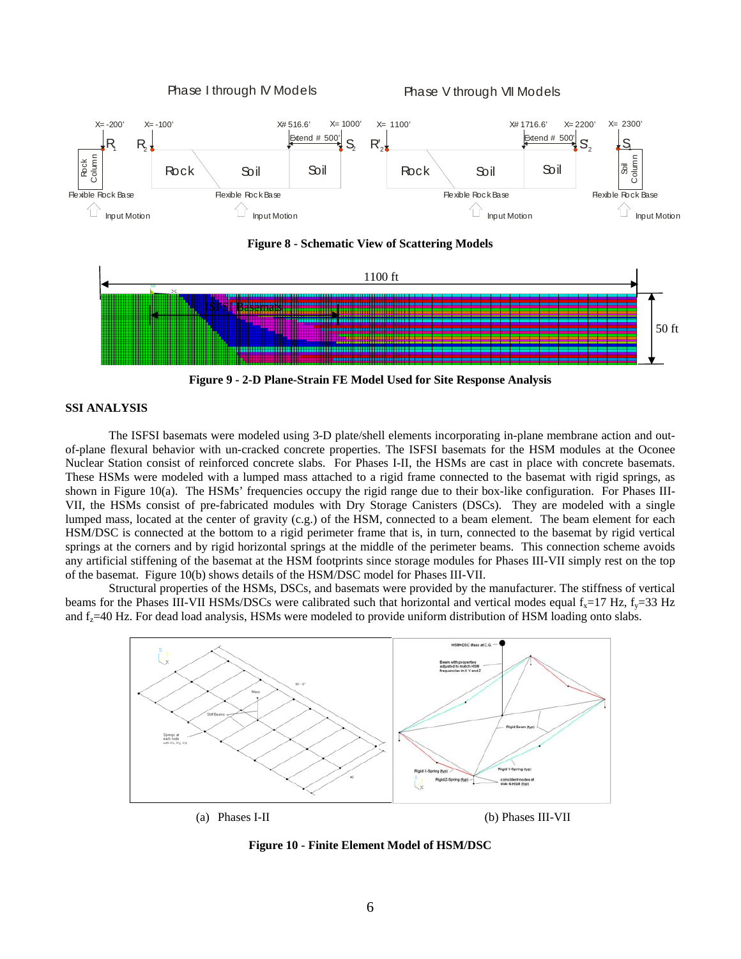



**Figure 9 - 2-D Plane-Strain FE Model Used for Site Response Analysis** 

# **SSI ANALYSIS**

The ISFSI basemats were modeled using 3-D plate/shell elements incorporating in-plane membrane action and outof-plane flexural behavior with un-cracked concrete properties. The ISFSI basemats for the HSM modules at the Oconee Nuclear Station consist of reinforced concrete slabs. For Phases I-II, the HSMs are cast in place with concrete basemats. These HSMs were modeled with a lumped mass attached to a rigid frame connected to the basemat with rigid springs, as shown in Figure 10(a). The HSMs' frequencies occupy the rigid range due to their box-like configuration. For Phases III-VII, the HSMs consist of pre-fabricated modules with Dry Storage Canisters (DSCs). They are modeled with a single lumped mass, located at the center of gravity (c.g.) of the HSM, connected to a beam element. The beam element for each HSM/DSC is connected at the bottom to a rigid perimeter frame that is, in turn, connected to the basemat by rigid vertical springs at the corners and by rigid horizontal springs at the middle of the perimeter beams. This connection scheme avoids any artificial stiffening of the basemat at the HSM footprints since storage modules for Phases III-VII simply rest on the top of the basemat. Figure 10(b) shows details of the HSM/DSC model for Phases III-VII.

Structural properties of the HSMs, DSCs, and basemats were provided by the manufacturer. The stiffness of vertical beams for the Phases III-VII HSMs/DSCs were calibrated such that horizontal and vertical modes equal  $f_x=17$  Hz,  $f_y=33$  Hz and f<sub>z</sub>=40 Hz. For dead load analysis, HSMs were modeled to provide uniform distribution of HSM loading onto slabs.



**Figure 10 - Finite Element Model of HSM/DSC**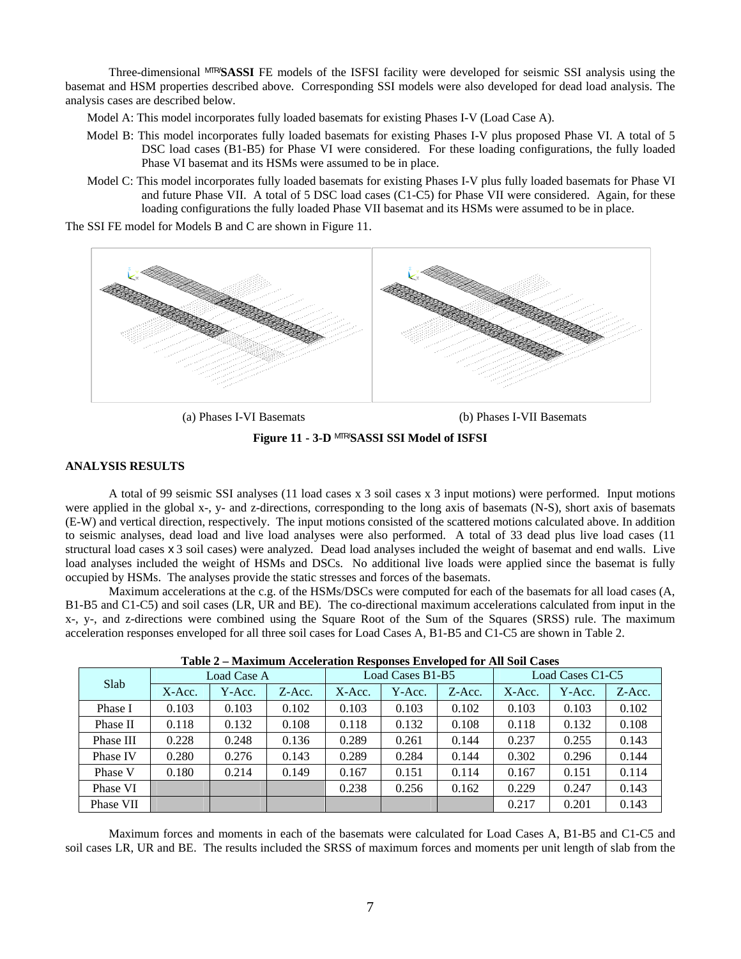Three-dimensional MTR/**SASSI** FE models of the ISFSI facility were developed for seismic SSI analysis using the basemat and HSM properties described above. Corresponding SSI models were also developed for dead load analysis. The analysis cases are described below.

Model A: This model incorporates fully loaded basemats for existing Phases I-V (Load Case A).

- Model B: This model incorporates fully loaded basemats for existing Phases I-V plus proposed Phase VI. A total of 5 DSC load cases (B1-B5) for Phase VI were considered. For these loading configurations, the fully loaded Phase VI basemat and its HSMs were assumed to be in place.
- Model C: This model incorporates fully loaded basemats for existing Phases I-V plus fully loaded basemats for Phase VI and future Phase VII. A total of 5 DSC load cases (C1-C5) for Phase VII were considered. Again, for these loading configurations the fully loaded Phase VII basemat and its HSMs were assumed to be in place.

The SSI FE model for Models B and C are shown in Figure 11.



(a) Phases I-VI Basemats (b) Phases I-VII Basemats

**Figure 11 - 3-D** MTR/**SASSI SSI Model of ISFSI** 

## **ANALYSIS RESULTS**

A total of 99 seismic SSI analyses (11 load cases x 3 soil cases x 3 input motions) were performed. Input motions were applied in the global x-, y- and z-directions, corresponding to the long axis of basemats (N-S), short axis of basemats (E-W) and vertical direction, respectively. The input motions consisted of the scattered motions calculated above. In addition to seismic analyses, dead load and live load analyses were also performed. A total of 33 dead plus live load cases (11 structural load cases x 3 soil cases) were analyzed. Dead load analyses included the weight of basemat and end walls. Live load analyses included the weight of HSMs and DSCs. No additional live loads were applied since the basemat is fully occupied by HSMs. The analyses provide the static stresses and forces of the basemats.

Maximum accelerations at the c.g. of the HSMs/DSCs were computed for each of the basemats for all load cases (A, B1-B5 and C1-C5) and soil cases (LR, UR and BE). The co-directional maximum accelerations calculated from input in the x-, y-, and z-directions were combined using the Square Root of the Sum of the Squares (SRSS) rule. The maximum acceleration responses enveloped for all three soil cases for Load Cases A, B1-B5 and C1-C5 are shown in Table 2.

| Slab      | Load Case A |        |        | Load Cases B1-B5 |        |        | Load Cases C1-C5 |        |        |
|-----------|-------------|--------|--------|------------------|--------|--------|------------------|--------|--------|
|           | X-Acc.      | Y-Acc. | Z-Acc. | $X$ -Acc.        | Y-Acc. | Z-Acc. | X-Acc.           | Y-Acc. | Z-Acc. |
| Phase I   | 0.103       | 0.103  | 0.102  | 0.103            | 0.103  | 0.102  | 0.103            | 0.103  | 0.102  |
| Phase II  | 0.118       | 0.132  | 0.108  | 0.118            | 0.132  | 0.108  | 0.118            | 0.132  | 0.108  |
| Phase III | 0.228       | 0.248  | 0.136  | 0.289            | 0.261  | 0.144  | 0.237            | 0.255  | 0.143  |
| Phase IV  | 0.280       | 0.276  | 0.143  | 0.289            | 0.284  | 0.144  | 0.302            | 0.296  | 0.144  |
| Phase V   | 0.180       | 0.214  | 0.149  | 0.167            | 0.151  | 0.114  | 0.167            | 0.151  | 0.114  |
| Phase VI  |             |        |        | 0.238            | 0.256  | 0.162  | 0.229            | 0.247  | 0.143  |
| Phase VII |             |        |        |                  |        |        | 0.217            | 0.201  | 0.143  |

| Table 2 - Maximum Acceleration Responses Enveloped for All Soil Cases |  |  |  |  |  |  |  |
|-----------------------------------------------------------------------|--|--|--|--|--|--|--|
|-----------------------------------------------------------------------|--|--|--|--|--|--|--|

Maximum forces and moments in each of the basemats were calculated for Load Cases A, B1-B5 and C1-C5 and soil cases LR, UR and BE. The results included the SRSS of maximum forces and moments per unit length of slab from the